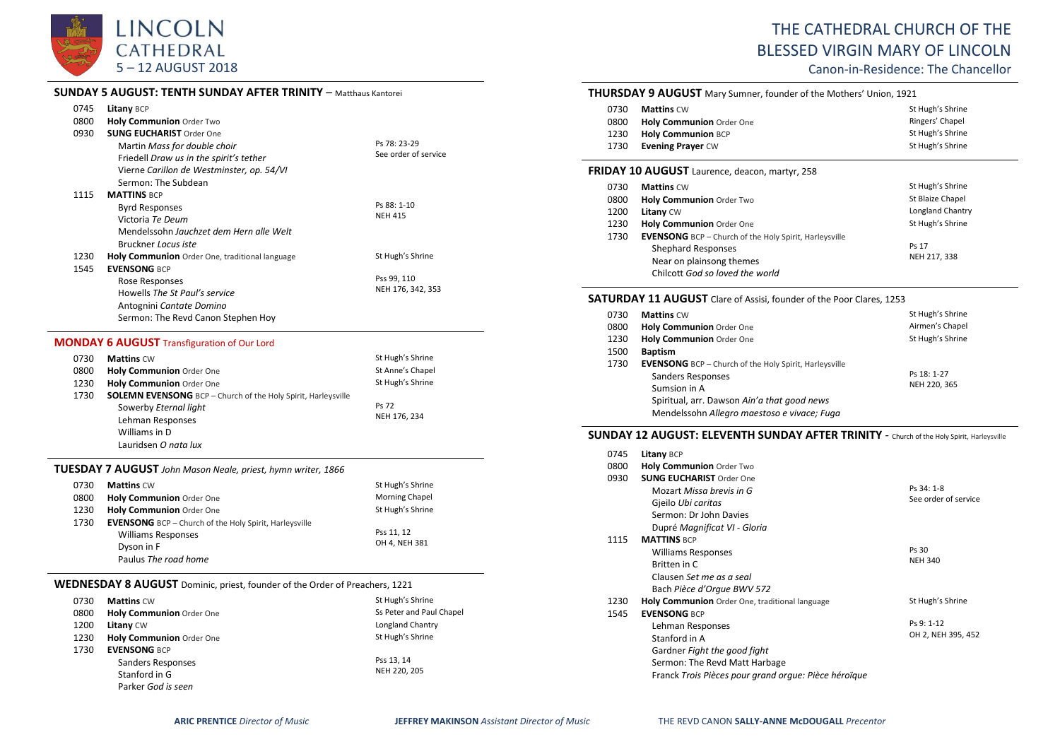

### **SUNDAY 5 AUGUST: TENTH SUNDAY AFTER TRINITY** – Matthaus Kantorei

| 0745 | Litany BCP                                                           |                      |
|------|----------------------------------------------------------------------|----------------------|
| 0800 | Holy Communion Order Two                                             |                      |
| 0930 | <b>SUNG EUCHARIST Order One</b>                                      |                      |
|      | Martin Mass for double choir                                         | Ps 78: 23-29         |
|      | Friedell Draw us in the spirit's tether                              | See order of service |
|      | Vierne Carillon de Westminster, op. 54/VI                            |                      |
|      | Sermon: The Subdean                                                  |                      |
| 1115 | <b>MATTINS BCP</b>                                                   |                      |
|      | <b>Byrd Responses</b>                                                | Ps 88: 1-10          |
|      | Victoria Te Deum                                                     | <b>NEH 415</b>       |
|      | Mendelssohn <i>Jauchzet dem Hern alle Welt</i>                       |                      |
|      | Bruckner Locus iste                                                  |                      |
| 1230 | Holy Communion Order One, traditional language                       | St Hugh's Shrine     |
| 1545 | <b>EVENSONG BCP</b>                                                  |                      |
|      | Rose Responses                                                       | Pss 99, 110          |
|      | Howells The St Paul's service                                        | NEH 176, 342, 353    |
|      | Antognini Cantate Domino                                             |                      |
|      | Sermon: The Revd Canon Stephen Hoy                                   |                      |
|      | <b>MONDAY 6 AUGUST</b> Transfiguration of Our Lord                   |                      |
|      |                                                                      |                      |
| 0730 | <b>Mattins CW</b>                                                    | St Hugh's Shrine     |
| 0800 | Holy Communion Order One                                             | St Anne's Chapel     |
| 1230 | Holy Communion Order One                                             | St Hugh's Shrine     |
| 1730 | <b>SOLEMN EVENSONG</b> BCP - Church of the Holy Spirit, Harleysville |                      |
|      | Sowerby Eternal light                                                | Ps 72                |
|      | Lehman Responses                                                     | NEH 176, 234         |

#### **TUESDAY 7 AUGUST** *John Mason Neale, priest, hymn writer, 1866*

Williams in D Lauridsen *O nata lux*

| 0730 | <b>Mattins CW</b>                                             | St Hugh's Shrine      |
|------|---------------------------------------------------------------|-----------------------|
| 0800 | Holy Communion Order One                                      | <b>Morning Chapel</b> |
| 1230 | Holy Communion Order One                                      | St Hugh's Shrine      |
| 1730 | <b>EVENSONG</b> BCP - Church of the Holy Spirit, Harleysville |                       |
|      | <b>Williams Responses</b>                                     | Pss 11, 12            |
|      | Dyson in F                                                    | OH 4, NEH 381         |
|      | Paulus The road home                                          |                       |

#### **WEDNESDAY 8 AUGUST** Dominic, priest, founder of the Order of Preachers, 1221

| 0730 | <b>Mattins CW</b>               | St Hugh's Shrine         |
|------|---------------------------------|--------------------------|
| 0800 | <b>Holy Communion Order One</b> | Ss Peter and Paul Chapel |
| 1200 | Litany CW                       | Longland Chantry         |
| 1230 | <b>Holy Communion</b> Order One | St Hugh's Shrine         |
| 1730 | <b>EVENSONG BCP</b>             |                          |
|      | Sanders Responses               | Pss 13, 14               |
|      | Stanford in G                   | NEH 220, 205             |
|      | Parker God is seen              |                          |

## THE CATHEDRAL CHURCH OF THE BLESSED VIRGIN MARY OF LINCOLN

Canon-in-Residence: The Chancellor

## **THURSDAY 9 AUGUST** Mary Sumner, founder of the Mothers' Union, 1921

| 0730 | <b>Mattins CW</b>               | St Hugh's Shrine |
|------|---------------------------------|------------------|
| 0800 | <b>Holy Communion</b> Order One | Ringers' Chapel  |
| 1230 | <b>Holy Communion BCP</b>       | St Hugh's Shrine |
| 1730 | <b>Evening Prayer CW</b>        | St Hugh's Shrine |

### **FRIDAY 10 AUGUST** Laurence, deacon, martyr, 258

| 0730 | <b>Mattins CW</b>                                             | St Hugh's Shrine |
|------|---------------------------------------------------------------|------------------|
| 0800 | Holy Communion Order Two                                      | St Blaize Chapel |
| 1200 | Litany CW                                                     | Longland Chantry |
| 1230 | Holy Communion Order One                                      | St Hugh's Shrine |
| 1730 | <b>EVENSONG</b> BCP - Church of the Holy Spirit, Harleysville |                  |
|      | <b>Shephard Responses</b>                                     | Ps 17            |
|      | Near on plainsong themes                                      | NEH 217, 338     |
|      | Chilcott God so loved the world                               |                  |

#### **SATURDAY 11 AUGUST** Clare of Assisi, founder of the Poor Clares, 1253

| 0730 | <b>Mattins CW</b>                                             | St Hugh's Shrine |
|------|---------------------------------------------------------------|------------------|
| 0800 | <b>Holy Communion Order One</b>                               | Airmen's Chapel  |
| 1230 | Holy Communion Order One                                      | St Hugh's Shrine |
| 1500 | <b>Baptism</b>                                                |                  |
| 1730 | <b>EVENSONG</b> BCP - Church of the Holy Spirit, Harleysville |                  |
|      | <b>Sanders Responses</b>                                      | Ps 18: 1-27      |
|      | Sumsion in A                                                  | NEH 220, 365     |
|      | Spiritual, arr. Dawson Ain'a that good news                   |                  |
|      | Mendelssohn Allegro maestoso e vivace; Fuga                   |                  |

### **SUNDAY 12 AUGUST: ELEVENTH SUNDAY AFTER TRINITY** - Church of the Holy Spirit, Harleysville

| 0745 | <b>Litany BCP</b>                                    |                      |
|------|------------------------------------------------------|----------------------|
| 0800 | Holy Communion Order Two                             |                      |
| 0930 | <b>SUNG EUCHARIST Order One</b>                      |                      |
|      | Mozart Missa brevis in G                             | Ps 34: 1-8           |
|      | Gieilo Ubi caritas                                   | See order of service |
|      | Sermon: Dr John Davies                               |                      |
|      | Dupré Magnificat VI - Gloria                         |                      |
| 1115 | <b>MATTINS BCP</b>                                   |                      |
|      | <b>Williams Responses</b>                            | Ps 30                |
|      | Britten in C                                         | <b>NEH 340</b>       |
|      | Clausen Set me as a seal                             |                      |
|      | Bach Pièce d'Orgue BWV 572                           |                      |
| 1230 | Holy Communion Order One, traditional language       | St Hugh's Shrine     |
| 1545 | <b>EVENSONG BCP</b>                                  |                      |
|      | Lehman Responses                                     | $Ps 9: 1-12$         |
|      | Stanford in A                                        | OH 2, NEH 395, 452   |
|      | Gardner Fight the good fight                         |                      |
|      | Sermon: The Revd Matt Harbage                        |                      |
|      | Franck Trois Pièces pour grand orque: Pièce héroïque |                      |